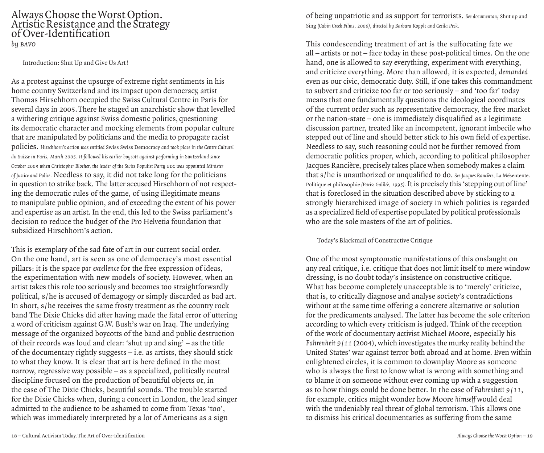## Always Choose the Worst Option. Artistic Resistance and the Strategy of Over-Identification *by bavo*

Introduction: Shut Up and Give Us Art!

As a protest against the upsurge of extreme right sentiments in his home country Switzerland and its impact upon democracy, artist Thomas Hirschhorn occupied the Swiss Cultural Centre in Paris for several days in 2005.There he staged an anarchistic show that levelled a withering critique against Swiss domestic politics, questioning its democratic character and mocking elements from popular culture that are manipulated by politicians and the media to propagate racist policies. *Hirschhorn's action was entitled* Swiss Swiss Democracy *and took place in the Centre Culturel du Suisse in Paris, March 2005. It followed his earlier boycott against performing in Switzerland since October 2003 when Christopher Blocher, the leader of the Swiss Populist Party udc was appointed Minister of Justice and Police.* Needless to say, it did not take long for the politicians in question to strike back. The latter accused Hirschhorn of not respecting the democratic rules of the game, of using illegitimate means to manipulate public opinion, and of exceeding the extent of his power and expertise as an artist. In the end, this led to the Swiss parliament's decision to reduce the budget of the Pro Helvetia foundation that subsidized Hirschhorn's action.

This is exemplary of the sad fate of art in our current social order. On the one hand, art is seen as one of democracy's most essential pillars: it is the space *par excellence* for the free expression of ideas, the experimentation with new models of society. However, when an artist takes this role too seriously and becomes too straightforwardly political, s/he is accused of demagogy or simply discarded as bad art. In short, s/he receives the same frosty treatment as the country rock band The Dixie Chicks did after having made the fatal error of uttering a word of criticism against G.W. Bush's war on Iraq. The underlying message of the organized boycotts of the band and public destruction of their records was loud and clear: 'shut up and sing' – as the title of the documentary rightly suggests  $-$  i.e. as artists, they should stick to what they know. It is clear that art is here defined in the most narrow, regressive way possible – as a specialized, politically neutral discipline focused on the production of beautiful objects or, in the case of The Dixie Chicks, beautiful sounds. The trouble started for the Dixie Chicks when, during a concert in London, the lead singer admitted to the audience to be ashamed to come from Texas 'too', which was immediately interpreted by a lot of Americans as a sign

of being unpatriotic and as support for terrorists. *See documentary* Shut up and Sing *(Cabin Creek Films, 2006), directed by Barbara Kopple and Cecila Peck.*

This condescending treatment of art is the suffocating fate we all – artists or not – face today in these post-political times. On the one hand, one is allowed to say everything, experiment with everything, and criticize everything. More than allowed, it is expected, *demanded* even as our civic, democratic duty. Still, if one takes this commandment to subvert and criticize too far or too seriously – and 'too far' today means that one fundamentally questions the ideological coordinates of the current order such as representative democracy, the free market or the nation-state – one is immediately disqualified as a legitimate discussion partner, treated like an incompetent, ignorant imbecile who stepped out of line and should better stick to his own field of expertise. Needless to say, such reasoning could not be further removed from democratic politics proper, which, according to political philosopher Jacques Rancière, precisely takes place when somebody makes a claim that s/he is unauthorized or unqualified to do. *See Jacques Rancière,* La Mésentente. Politique et philosophie *(Paris: Galilée, 1995).* It is precisely this 'stepping out of line' that is foreclosed in the situation described above by sticking to a strongly hierarchized image of society in which politics is regarded as a specialized field of expertise populated by political professionals who are the sole masters of the art of politics.

#### Today's Blackmail of Constructive Critique

One of the most symptomatic manifestations of this onslaught on any real critique, i.e. critique that does not limit itself to mere window dressing, is no doubt today's insistence on constructive critique. What has become completely unacceptable is to 'merely' criticize, that is, to critically diagnose and analyse society's contradictions without at the same time offering a concrete alternative or solution for the predicaments analysed. The latter has become the sole criterion according to which every criticism is judged. Think of the reception of the work of documentary activist Michael Moore, especially his *Fahrenheit 9/11* (2004),which investigates the murky reality behind the United States' war against terror both abroad and at home. Even within enlightened circles, it is common to downplay Moore as someone who is always the first to know what is wrong with something and to blame it on someone without ever coming up with a suggestion as to how things could be done better. In the case of *Fahrenheit 9/11*, for example, critics might wonder how Moore *himself* would deal with the undeniably real threat of global terrorism. This allows one to dismiss his critical documentaries as suffering from the same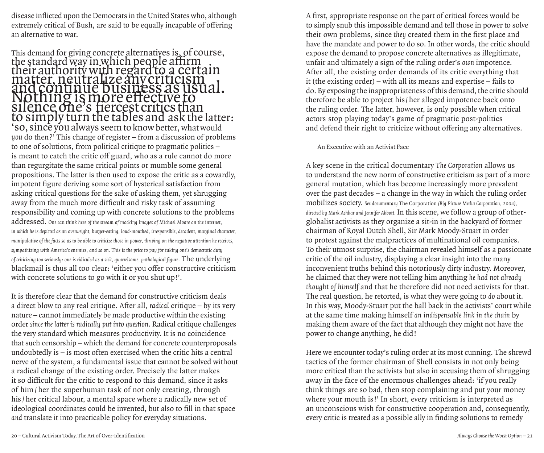disease inflicted upon the Democrats in the United States who, although extremely critical of Bush, are said to be equally incapable of offering an alternative to war.

# This demand for giving concrete alternatives is, of course, the standard way in which people affirm. their authority with regard to a certain matter, neutralize any criticism<br>and continue business as usual.<br>Nothing is more effective to<br>silence one's fiercestcritics than silence one's fiercest critics than<br>to simply turn the tables and ask the latter: 'so,since youalways seem to knowbetter,whatwould *you* do then?' This change of register – from a discussion of problems to one of solutions, from political critique to pragmatic politics – is meant to catch the critic off guard, who as a rule cannot do more than regurgitate the same critical points or mumble some general propositions. The latter is then used to expose the critic as a cowardly, impotent figure deriving some sort of hysterical satisfaction from asking critical questions for the sake of asking them, yet shrugging away from the much more difficult and risky task of assuming responsibility and coming up with concrete solutions to the problems addressed. *One can think here of the stream of mocking images of Michael Moore on the internet, in which he is depicted as an overweight, burger-eating, loud-mouthed, irresponsible, decadent, marginal character, manipulative of the facts so as to be able to criticize those in power, thriving on the negative attention he receives, sympathizing with America's enemies, and so on. This is the price to pay for taking one's democratic duty of criticizing too seriously: one is ridiculed as a sick, quarrelsome, pathological figure.* The underlying blackmail is thus all too clear: 'either you offer constructive criticism with concrete solutions to go with it or you shut up!'.

It is therefore clear that the demand for constructive criticism deals a direct blow to any real critique. After all, *radical* critique – by its very nature – cannot immediately be made productive within the existing order *since the latter is radically put into question*. Radical critique challenges the very standard which measures productivity. It is no coincidence that such censorship – which the dem*and* for concrete counterproposals undoubtedly is – is most often exercised when the critic hits a central nerve of the system, a fundamental issue that cannot be solved without a radical change of the existing order. Precisely the latter makes it so difficult for the critic to respond to this demand, since it asks of him / her the superhuman task of not only creating, through his / her critical labour, a mental space where a radically new set of ideological coordinates could be invented, but also to fill in that space *and* translate it into practicable policy for everyday situations.

A first, appropriate response on the part of critical forces would be to simply snub this impossible demand and tell those in power to solve their own problems, since *they* created them in the first place and have the mandate and power to do so. In other words, the critic should expose the demand to propose concrete alternatives as illegitimate, unfair and ultimately a sign of the ruling order's *own* impotence. After all, the existing order demands of its critic everything that it (the existing order) – with all its means and expertise – fails to do. By exposing the inappropriateness of this demand, the critic should therefore be able to project his/ her alleged impotence back onto the ruling order. The latter, however, is only possible when critical actors stop playing today's game of pragmatic post-politics and defend their right to criticize without offering any alternatives.

## An Executive with an Activist Face

A key scene in the critical documentary *The Corporation* allows us to understand the new norm of constructive criticism as part of a more general mutation, which has become increasingly more prevalent over the past decades – a change in the way in which the ruling order mobilizes society. *See documentary* The Corporation *(Big Picture Media Corporation, 2004), directed by Mark Achbar and Jennifer Abbott.* In this scene, we follow a group of otherglobalist activists as they organize a sit-in in the backyard of former chairman of Royal Dutch Shell, Sir Mark Moody-Stuart in order to protest against the malpractices of multinational oil companies. To their utmost surprise, the chairman revealed himself as a passionate critic of the oil industry, displaying a clear insight into the many inconvenient truths behind this notoriously dirty industry. Moreover, he claimed that they were not telling him anything *he had not already thought of himself* and that he therefore did not need activists for that. The real question, he retorted, is what they were going to *do* about it. In this way, Moody-Stuart put the ball back in the activists' court while at the same time making himself *an indispensable link in the chain* by making them aware of the fact that although they might not have the power to change anything, he did!

Here we encounter today's ruling order at its most cunning. The shrewd tactics of the former chairman of Shell consists in not only being more critical than the activists but also in accusing them of shrugging away in the face of the enormous challenges ahead: 'if you really think things are so bad, then stop complaining and put your money where your mouth is!' In short, every criticism is interpreted as an unconscious wish for constructive cooperation and, consequently, every critic is treated as a possible ally in finding solutions to remedy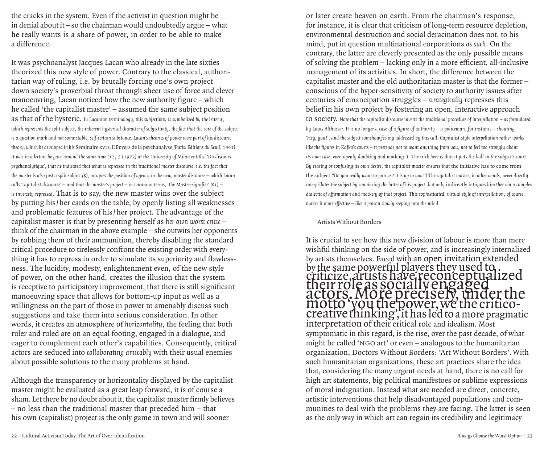the cracks in the system. Even if the activist in question might be in denial about it – so the chairman would undoubtedly argue – what he really wants is a share of power, in order to be able to make a difference.

It was psychoanalyst Jacques Lacan who already in the late sixties theorized this new style of power. Contrary to the classical, authoritarian way of ruling, i.e. by brutally forcing one's own project down society's proverbial throat through sheer use of force and clever manoeuvring, Lacan noticed how the new authority figure – which he called 'the capitalist master' – assumed the same subject position as that of the hysteric. *In Lacanian terminology, this subjectivity is symbolized by the letter \$, which represents the split subject, the inherent hysterical character of subjectivity, the fact that the core of the subject is a question mark and not some stable, self-certain substance. Lacan's theories of power were part of his discourse theory, which he developed in his* Séminaire xvii: L'Envers de la psychanalyse *(Paris: Editions du Seuil, 1991). It was in a lecture he gave around the same time (12 / 5 / 1972) at the University of Milan entitled 'Du discours psychanalytique', that he indicated that what is repressed in the traditional master discourse, i.e. the fact that the master is also just a split subject (\$), occupies the position of agency in the new, master discourse – which Lacan calls 'capitalist discourse' – and that the master's project – in Lacanian terms,' the Master-signifier' (s1) – is inversely repressed.* That is to say, the new master wins over the subject by putting his/ her cards on the table, by openly listing all weaknesses and problematic features of his/ her project. The advantage of the capitalist master is that by presenting herself as *her own worst critic* – think of the chairman in the above example – she outwits her opponents by robbing them of their ammunition, thereby disabling the standard critical procedure to tirelessly confront the existing order with everything it has to repress in order to simulate its superiority and flawlessness. The lucidity, modesty, enlightenment even, of the new style of power, on the other hand, creates the illusion that the system is receptive to participatory improvement, that there is still significant manoeuvring space that allows for bottom-up input as well as a willingness on the part of those in power to amenably discuss such suggestions and take them into serious consideration. In other words, it creates an atmosphere of *horizontality*, the feeling that both ruler and ruled are on an equal footing, engaged in a dialogue, and eager to complement each other's capabilities. Consequently, critical actors are seduced into *collaborating amicably* with their usual enemies about possible solutions to the many problems at hand.

Although the transparency or horizontality displayed by the capitalist master might be evaluated as a great leap forward, it is of course a sham. Let there be no doubt about it, the capitalist master firmly believes – no less than the traditional master that preceded him – that his own (capitalist) project is the only game in town and will sooner

or later create heaven on earth. From the chairman's response, for instance, it is clear that criticism of long-term resource depletion, environmental destruction and social deracination does not, to his mind, put in question multinational corporations *as such*. On the contrary, the latter are cleverly presented as the only possible means of solving the problem – lacking only in a more efficient, all-inclusive management of its activities. In short, the difference between the capitalist master and the old authoritarian master is that the former – conscious of the hyper-sensitivity of society to authority issues after centuries of emancipation struggles – *strategically* represses this belief in his own project by fostering an open, interactive approach to society. *Note that the capitalist discourse inverts the traditional procedure of interpellation – as formulated by Louis Althusser. It is no longer a case of a figure of authority – a policeman, for instance – shouting 'Hey, you!', and the subject somehow feeling addressed by this call. Capitalist-style interpellation rather works like the figures in Kafka's courts – it pretends not to want anything from you, not to feel too strongly about its own case, even openly doubting and mocking it. The trick here is that it puts the ball in the subject's court. By erasing or confusing its own desire, the capitalist master ensures that* the initiative has to come from the subject *('Do you really want to join us? It is up to you!') The capitalist master, in other words, never directly interpellates the subject by convincing the latter of his project, but only* indirectly *intrigues him/ her via a complex dialectic of a<rmation and mockery of that project. This sophisticated, virtual style of interpellation, of course, makes it more effective – like a poison slowly seeping into the mind.* 

#### Artists Without Borders

It is crucial to see how this new division of labour is more than mere wishful thinking on the side of power, and is increasingly internalized by artists themselves. Faced with an open invitation extended by the samepowerful players they used to by the same power in players they used to ized<br>criticize, artists have reconceptualized<br>their role as socially engaged<br>actors. More precisely, under the motto'youthepower,we the criticocreativethinking' ,ithas ledtoamore pragmatic interpretation of their critical role and idealism. Most symptomatic in this regard, is the rise, over the past decade, of what might be called 'ngo art' or even – analogous to the humanitarian organization, Doctors Without Borders: 'Art Without Borders'. With such humanitarian organizations, these art practices share the idea that, considering the many urgent needs at hand, there is no call for high art statements, big political manifestoes or sublime expressions of moral indignation. Instead what are needed are direct, concrete, artistic interventions that help disadvantaged populations and communities to deal with the problems they are facing. The latter is seen as the only way in which art can regain its credibility and legitimacy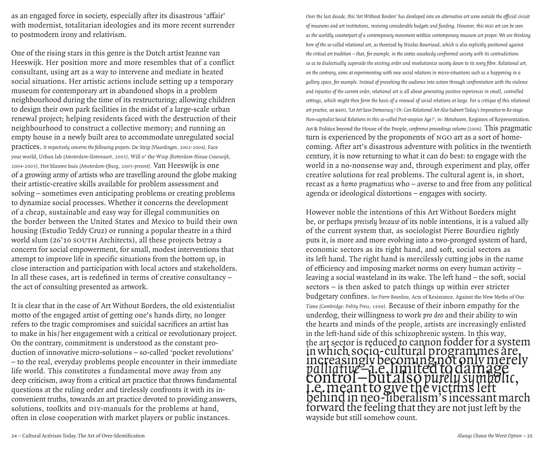as an engaged force in society, especially after its disastrous 'affair' with modernist, totalitarian ideologies and its more recent surrender to postmodern irony and relativism.

One of the rising stars in this genre is the Dutch artist Jeanne van Heeswijk. Her position more and more resembles that of a conflict consultant, using art as a way to intervene and mediate in heated social situations. Her artistic actions include setting up a temporary museum for contemporary art in abandoned shops in a problem neighbourhood during the time of its restructuring; allowing children to design their own park facilities in the midst of a large-scale urban renewal project; helping residents faced with the destruction of their neighbourhood to construct a collective memory; and running an empty house in a newly built area to accommodate unregulated social practices. *It respectively concerns the following projects:* De Strip *(Vlaardingen, 2002-2004),* Face your world, Urban lab *(Amsterdam-Slotervaart, 2005),* Will o' the Wisp *(Rotterdam-Nieuw Crooswijk, 2004-2005),* Het blauwe huis *(Amsterdam-IJburg, 2005-present).* Van Heeswijk is one of a growing army of artists who are travelling around the globe making their artistic-creative skills available for problem assessment and solving – sometimes even anticipating problems or creating problems to dynamize social processes. Whether it concerns the development of a cheap, sustainable and easy way for illegal communities on the border between the United States and Mexico to build their own housing (Estudio Teddy Cruz) or running a popular theatre in a third world slum (26'10 SOUTH Architects), all these projects betray a concern for social empowerment, for small, modest interventions that attempt to improve life in specific situations from the bottom up, in close interaction and participation with local actors and stakeholders. In all these cases, art is redefined in terms of creative consultancy – the act of consulting presented as artwork.

It is clear that in the case of Art Without Borders, the old existentialist motto of the engaged artist of getting one's hands dirty, no longer refers to the tragic compromises and suicidal sacrifices an artist has to make in his/ her engagement with a critical or revolutionary project. On the contrary, commitment is understood as the constant production of innovative micro-solutions – so-called 'pocket revolutions' – to the real, everyday problems people encounter in their immediate life world. This constitutes a fundamental move away from any deep criticism, away from a critical art practice that throws fundamental questions at the ruling order and tirelessly confronts it with its inconvenient truths, towards an art practice devoted to providing answers, solutions, toolkits and DIY-manuals for the problems at hand, often in close cooperation with market players or public instances.

*Over the last decade, this 'Art Without Borders' has developed into an alternative art scene outside the official circuit of museums and art institutions, receiving considerable budgets and funding. However, this ngo art can be seen as the worldly counterpart of a contemporary movement* within *contemporary museum art proper. We are thinking here of the so-called relational art, as theorized by Nicolas Bourriaud, which is also explicitly positioned against the critical art tradition – that, for example, in the sixties ceaselessly confronted society with its contradictions so as to dialectically supersede the existing order and revolutionize society down to its every fibre. Relational art, on the contrary, aims at experimenting with new social relations in micro-situations such as a happening in a gallery space, for example. Instead of provoking the audience into action through confrontation with the violence and injustice of the current order, relational art is all about generating positive experiences in small, controlled settings, which might then form the basis of a renewal of social relations at large. For a critique of this relational art practice, see bavo, 'Let Art Save Democracy! Or: Can Relational Art Also Subvert Today's Imperative to Re-stage Non-capitalist Social Relations in this so-called Post-utopian Age?', in: Metahaven, Regimes of Representation.* Art & Politics beyond the House of the People*, conference proceedings volume (2006).* This pragmatic turn is experienced by the proponents of ngo art as a sort of homecoming. After art's disastrous adventure with politics in the twentieth century, it is now returning to what it can do best: to engage with the world in a no-nonsense way and, through experiment and play, offer creative solutions for real problems. The cultural agent is, in short, recast as a *homo pragmaticus* who – averse to and free from any political agenda or ideological distortions – engages with society.

However noble the intentions of this Art Without Borders might be, or perhaps *precisely because* of its noble intentions, it is a valued ally of the current system that, as sociologist Pierre Bourdieu rightly puts it, is more and more evolving into a two-pronged system of hard, economic sectors as its right hand, and soft, social sectors as its left hand. The right hand is mercilessly cutting jobs in the name of efficiency and imposing market norms on every human activity  $$ leaving a social wasteland in its wake. The left hand – the soft, social sectors – is then asked to patch things up within ever stricter budgetary confines. *See Pierre Bourdieu,* Acts of Resistance. Against the New Myths of Our Time *(Cambridge: Polity Press, 1998).* Because of their inborn empathy for the underdog, their willingness to work *pro deo* and their ability to win the hearts and minds of the people, artists are increasingly enlisted in the left-hand side of this schizophrenic system. In this way, the art sector is reduced to cannon fodder for a system in which socio-cultural programmes are<br>increasingly becoming not only merely<br>palliative—i.e., limited to damage<br>control—but also purely symbolic,<br>i.e. meant to give the victims left<br>behind in neo-liberalism's incessant mar forward the feeling that they are not just left by the wayside but still somehow count.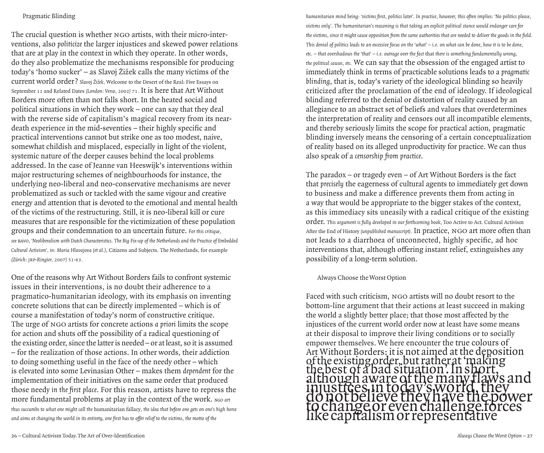### Pragmatic Blinding

The crucial question is whether ngo artists, with their micro-interventions, also *politicize* the larger injustices and skewed power relations that are at play in the context in which they operate. In other words, do they also problematize the mechanisms responsible for producing today's 'homo sucker' – as Slavoj Žižek calls the many victims of the current world order? *Slavoj limek,* Welcome to the Desert of the Real: Five Essays on September *11* and Related Dates *(London: Verso, 2002) 71.* It is here that Art Without Borders more often than not falls short. In the heated social and political situations in which they work – one can say that they deal with the reverse side of capitalism's magical recovery from its neardeath experience in the mid-seventies – their highly specific and practical interventions cannot but strike one as too modest, naive, somewhat childish and misplaced, especially in light of the violent, systemic nature of the deeper causes behind the local problems addressed. In the case of Jeanne van Heeswijk's interventions within major restructuring schemes of neighbourhoods for instance, the underlying neo-liberal and neo-conservative mechanisms are never problematized as such or tackled with the same vigour and creative energy and attention that is devoted to the emotional and mental health of the victims of the restructuring. Still, it is neo-liberal kill or cure measures that are responsible for the victimization of these population groups and their condemnation to an uncertain future. *For this critique, see bavo, 'Neoliberalism with Dutch Characteristics. The Big Fix-up of the Netherlands and the Practice of Embedded Cultural Activism', in: Maria Hlavajova (et al.),* Citizens and Subjects. The Netherlands, for example *(Zürich: jrp-Ringier, 2007) 51-63.*

One of the reasons why Art Without Borders fails to confront systemic issues in their interventions, is no doubt their adherence to a pragmatico-humanitarian ideology, with its emphasis on inventing concrete solutions that can be directly implemented – which is of course a manifestation of today's norm of constructive critique. The urge of ngo artists for concrete actions *a priori* limits the scope for action and shuts off the possibility of a radical questioning of the existing order, since the latter is needed – or at least, so it is assumed – for the realization of those actions. In other words, their addiction to doing something useful in the face of the needy other – which is elevated into some Levinasian Other – makes them *dependent* for the implementation of their initiatives on the same order that produced those needy *in the first place*. For this reason, artists have to repress the more fundamental problems at play in the context of the work. *ngo art thus succumbs to what one might call the* humanitarian fallacy*, the idea that before one gets on one's high horse* and aims at changing the world in its entirety, one first has to offer relief to the victims, the motto of the

*humanitarian mind being: 'victims first, politics later'. In practice, however, this often implies: 'No politics please, victims only'. The humanitarian's reasoning is that taking an explicit political stance would endanger care for the victims, since it might cause opposition from the same authorities that are needed to deliver the goods in the field. This denial of politics leads to an excessive focus on the 'what' – i.e. on what can be done, how it is to be done, etc. – that overshadows the 'that' – i.e. outrage over the fact* that *there is something fundamentally wrong, the political causes, etc.* We can say that the obsession of the engaged artist to immediately think in terms of practicable solutions leads to a *pragmatic blinding*, that is, today's variety of the ideological blinding so heavily criticized after the proclamation of the end of ideology. If ideological blinding referred to the denial or distortion of reality caused by an allegiance to an abstract set of beliefs and values that overdetermines the interpretation of reality and censors out all incompatible elements, and thereby seriously limits the scope for practical action, pragmatic blinding inversely means the censoring of a certain conceptualization of reality based on its alleged unproductivity for practice. We can thus also speak of a *censorship from practice*.

The paradox – or tragedy even – of Art Without Borders is the fact that *precisely* the eagerness of cultural agents to immediately get down to business and make a difference prevents them from acting in a way that would be appropriate to the bigger stakes of the context, as this immediacy sits uneasily with a radical critique of the existing order. *This argument is fully developed in our forthcoming book,* Too Active to Act. Cultural Activism After the End of History *(unpublished manuscript)*. In practice, NGO art more often than not leads to a diarrhoea of unconnected, highly specific, ad hoc interventions that, although offering instant relief, extinguishes any possibility of a long-term solution.

Always Choose theWorst Option

Faced with such criticism, ngo artists will no doubt resort to the bottom-line argument that their actions at least succeed in making the world a slightly better place; that those most affected by the injustices of the current world order now at least have some means at their disposal to improve their living conditions or to socially empower themselves. We here encounter the true colours of<br>Art Without Borders: it is not aimed at the deposition of the existing order, but rather at the deposition<br>of the best of a bad situation? In short,<br>although aware of the many flaws and<br>injustices, in today's world, they<br>do not believe they have the power<br>to change or even cha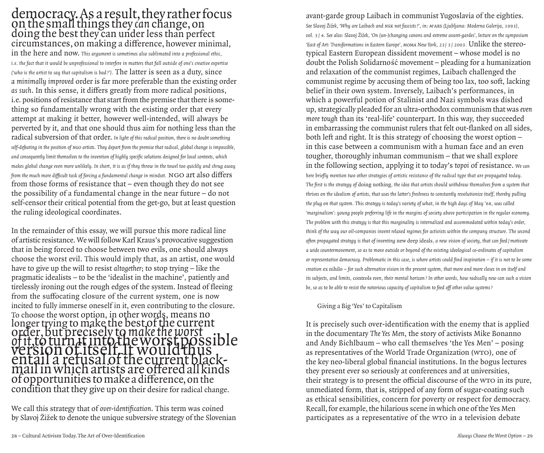## democracy. As a result, they rather focus onthesmallthings they *can* change,on doing the best they can underless than perfect circumstances, on making a difference, however minimal,

in the here and now. *This argument is sometimes also sublimated into a professional ethic, i.e. the fact that it would be unprofessional to interfere in matters that fall outside of one's creative expertise ('who is the artist to say that capitalism is bad?').* The latter is seen as a duty, since a *minimally improved* order is far more preferable than the existing order as such. In this sense, it differs greatly from more radical positions, i.e. positions of resistance that start from the premise that there is something so fundamentally wrong with the existing order that every attempt at making it better, however well-intended, will always be perverted by it, and that one should thus aim for nothing less than the radical subversion of that order. *In light of this radical position, there is no doubt something self-defeating in the position of ngo artists. They depart from the premise that radical, global change is impossible, and consequently limit themselves to the invention of highly specific solutions designed for local contexts, which makes global change even more unlikely. In short, it is as if they throw in the towel too quickly and shrug away from the much more difficult task of forcing a fundamental change in mindset.* NGO art also differs from those forms of resistance that – even though they do not see the possibility of a fundamental change in the near future – do not self-censor their critical potential from the get-go, but at least question the ruling ideological coordinates.

In the remainder of this essay, we will pursue this more radical line of artistic resistance. We will follow Karl Kraus's provocative suggestion that in being forced to choose between two evils, one should always choose the worst evil. This would imply that, as an artist, one would have to give up the will to resist *altogether*; to stop trying – like the pragmatic idealists – to be the 'idealist in the machine', patiently and tirelessly ironing out the rough edges of the system. Instead of fleeing from the suffocating closure of the current system, one is now incited to fully immerse oneself in it, even contributing to the closure. To choose the worst option, in other words, means no<br>longer trying to make the best of the current order, butprecisely to make the worst<br>of it,to turn it into the worst possible<br>version of itself. It would thus entail a refusal of the current black-<br>mail in which artists are offered all kinds of opportunities to make a difference, on the condition that they give up on their desire for radical change.

We call this strategy that of *over-identification*. This term was coined by Slavoj Žižek to denote the unique subversive strategy of the Slovenian avant-garde group Laibach in communist Yugoslavia of the eighties. *See Slavoj limek, 'Why are Laibach and nsk not fascists?', in: m'ars (Ljubljana: Moderna Galerija, 1993), vol. 3 / 4. See also: Slavoj limek, 'On (un-)changing canons and extreme avant-gardes', lecture on the symposium 'East of Art: Transformations in Eastern Europe', moma New York, 23/ 3 / 2003.* Unlike the stereotypical Eastern European dissident movement – whose model is no doubt the Polish Solidarność movement – pleading for a humanization and relaxation of the communist regimes, Laibach challenged the communist regime by accusing them of being too lax, too soft, lacking belief in their own system. Inversely, Laibach's performances, in which a powerful potion of Stalinist and Nazi symbols was dished up, strategically pleaded for an ultra-orthodox communism that was *even more tough* than its 'real-life' counterpart. In this way, they succeeded in embarrassing the communist rulers that felt out-flanked on all sides, both left and right. It is this strategy of choosing the worst option – in this case between a communism with a human face and an even tougher, thoroughly inhuman communism – that we shall explore in the following section, applying it to today's *topoi* of resistance. *We can here briefly mention two other strategies of artistic resistance of the radical type that are propagated today. The first is the strategy of* doing nothing*, the idea that artists should withdraw themselves from a system that thrives on the idealism of artists, that uses the latter's freshness to constantly revolutionize itself, thereby pulling the plug on that system. This strategy is today's variety of what, in the high days of May '68, was called 'marginalism': young people preferring life in the margins of society above participation in the regular economy. The problem with this strategy is that this marginality is internalized and accommodated within today's order, think of the way our oil-companies invent relaxed regimes for activists within the company structure. The second often propagated strategy is that of inventing* new deep ideals*, a new vision of society, that can feed / motivate a wide countermovement, so as to move outside or beyond of the existing ideological co-ordinates of capitalism or representative democracy. Problematic in this case, is where artists could find inspiration – if it is not to be some creation* ex nihilo *– for such alternative vision in the present system, that more and more closes in on itself and its subjects, and limits,* controls *even, their mental horizon? In other words, how radically new can such a vision be, so as to be able to resist the notorious capacity of capitalism to feed off other value systems?* 

## Giving a Big 'Yes' to Capitalism

It is precisely such over-identification with the enemy that is applied in the documentary *The Yes Men*, the story of activists Mike Bonanno and Andy Bichlbaum – who call themselves 'the Yes Men' – posing as representatives of the World Trade Organization (wto), one of the key neo-liberal global financial institutions. In the bogus lectures they present ever so seriously at conferences and at universities, their strategy is to present the official discourse of the wro in its pure, unmediated form, that is, stripped of any form of sugar-coating such as ethical sensibilities, concern for poverty or respect for democracy. Recall, for example, the hilarious scene in which one of the Yes Men participates as a representative of the wro in a television debate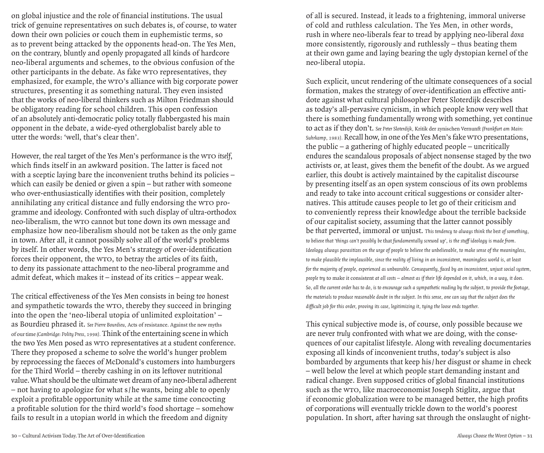on global injustice and the role of financial institutions. The usual trick of genuine representatives on such debates is, of course, to water down their own policies or couch them in euphemistic terms, so as to prevent being attacked by the opponents head-on. The Yes Men, on the contrary, bluntly and openly propagated all kinds of hardcore neo-liberal arguments and schemes, to the obvious confusion of the other participants in the debate. As fake wto representatives, they emphasized, for example, the wto's alliance with big corporate power structures, presenting it as something natural. They even insisted that the works of neo-liberal thinkers such as Milton Friedman should be obligatory reading for school children. This open confession of an absolutely anti-democratic policy totally flabbergasted his main opponent in the debate, a wide-eyed otherglobalist barely able to utter the words: 'well, that's clear then'.

However, the real target of the Yes Men's performance is the wto *itself*, which finds itself in an awkward position. The latter is faced not with a sceptic laying bare the inconvenient truths behind its policies – which can easily be denied or given a spin – but rather with someone who over-enthusiastically identifies with their position, completely annihilating any critical distance and fully endorsing the wro programme and ideology. Confronted with such display of ultra-orthodox neo-liberalism, the wto cannot but tone down its own message and emphasize how neo-liberalism should not be taken as the only game in town. After all, it cannot possibly solve all of the world's problems by itself. In other words, the Yes Men's strategy of over-identification forces their opponent, the wro, to betray the articles of its faith, to deny its passionate attachment to the neo-liberal programme and admit defeat, which makes *it* – instead of its critics – appear weak.

The critical effectiveness of the Yes Men consists in being *too* honest and sympathetic towards the wro, thereby they succeed in bringing into the open the 'neo-liberal utopia of unlimited exploitation' – as Bourdieu phrased it. *See Pierre Bourdieu,* Acts of resistance. Against the new myths of our time *(Cambridge: Polity Press, 1998).* Think of the entertaining scene in which the two Yes Men posed as wro representatives at a student conference. There they proposed a scheme to solve the world's hunger problem by reprocessing the faeces of McDonald's customers into hamburgers for the Third World – thereby cashing in on its leftover nutritional value. What should be the ultimate wet dream of any neo-liberal adherent – not having to apologize for what s/he wants, being able to openly exploit a profitable opportunity while at the same time concocting a profitable solution for the third world's food shortage – somehow fails to result in a utopian world in which the freedom and dignity

of all is secured. Instead, it leads to a frightening, immoral universe of cold and ruthless calculation. The Yes Men, in other words, rush in where neo-liberals fear to tread by applying neo-liberal *doxa* more consistently, rigorously and ruthlessly – thus beating them at their own game and laying bearing the ugly dystopian kernel of the neo-liberal utopia.

Such explicit, uncut rendering of the ultimate consequences of a social formation, makes the strategy of over-identification an effective antidote against what cultural philosopher Peter Sloterdijk describes as today's all-pervasive cynicism, in which people know very well that there is something fundamentally wrong with something, yet continue to act as if they don't. *See Peter Sloterdijk,* Kritik der zynischen Vernunft *(Frankfurt am Main: Suhrkamp, 1983).* Recall how, in one of the Yes Men's fakewtopresentations, the public – a gathering of highly educated people – uncritically endures the scandalous proposals of abject nonsense staged by the two activists or, at least, gives them the benefit of the doubt. As we argued earlier, this doubt is actively maintained by the capitalist discourse by presenting itself as an open system conscious of its own problems and ready to take into account critical suggestions or consider alternatives. This attitude causes people to let go of their criticism and to conveniently repress their knowledge about the terrible backside of our capitalist society, assuming that the latter cannot possibly be *that* perverted, immoral or unjust. *This tendency to always think the best of something,* to believe that 'things can't possibly be that *fundamentally screwed up'*, is the stuff ideology is made from. *Ideology always parasitizes on the urge of people to believe the unbelievable, to make sense of the meaningless, to make plausible the implausible, since the reality of living in an inconsistent, meaningless world is, at least for the majority of people, experienced as unbearable. Consequently, faced by an inconsistent, unjust social system, people try* to make it consistent *at all costs – almost as if their life depended on it, which, in a way, it does. So, all the current order has to do, is to encourage such a sympathetic reading by the subject, to provide the footage, the materials to produce reasonable doubt in the subject. In this sense, one can say that the subject does the difficult job for this order, proving its case, legitimizing it, tying the loose ends together.*

This cynical subjective mode is, of course, only possible because we are never *truly* confronted with what we are doing, with the consequences of our capitalist lifestyle. Along with revealing documentaries exposing all kinds of inconvenient truths, today's subject is also bombarded by arguments that keep his/her disgust or shame in check – well below the level at which people start demanding instant and radical change. Even supposed critics of global financial institutions such as the wto, like macroeconomist Joseph Stiglitz, argue that if economic globalization were to be managed better, the high profits of corporations will eventually trickle down to the world's poorest population. In short, after having sat through the onslaught of night-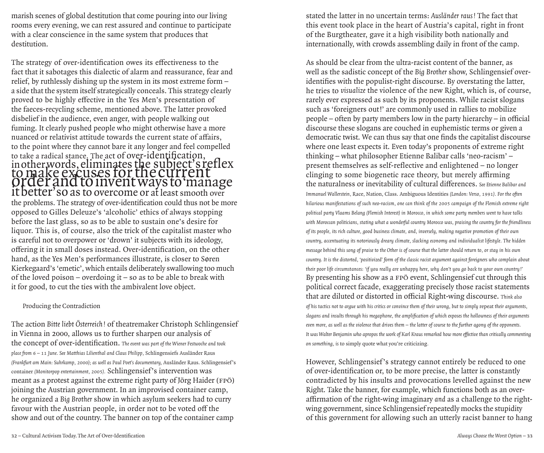marish scenes of global destitution that come pouring into our living rooms every evening, we can rest assured and continue to participate with a clear conscience in the same system that produces that destitution.

The strategy of over-identification owes its effectiveness to the fact that it sabotages this dialectic of alarm and reassurance, fear and relief, by ruthlessly dishing up the system in its most extreme form – a side that the system itself strategically conceals. This strategy clearly proved to be highly effective in the Yes Men's presentation of the faeces-recycling scheme, mentioned above. The latter provoked disbelief in the audience, even anger, with people walking out fuming. It clearly pushed people who might otherwise have a more nuanced or relativist attitude towards the current state of affairs, to the point where they cannot bare it any longer and feel compelled to take a radical stance. The act of over-identification, inotherwords, eliminates the subject's reflex<br>to make excuses for the current **Order and to invent ways to 'manage it better's o as to overcome or at least smooth over** the problems. The strategy of over-identification could thus not be more opposed to Gilles Deleuze's 'alcoholic' ethics of always stopping before the last glass, so as to be able to sustain one's desire for liquor. This is, of course, also the trick of the capitalist master who is careful not to overpower or 'drown' it subjects with its ideology, offering it in small doses instead. Over-identification, on the other hand, as the Yes Men's performances illustrate, is closer to Søren Kierkegaard's 'emetic',which entails deliberately swallowing too much of the loved poison – overdoing it – so as to be able to break with it for good, to cut the ties with the ambivalent love object.

## Producing the Contradiction

The action *Bitte liebt Österreich!* of theatremaker Christoph Schlingensief in Vienna in 2000, allows us to further sharpen our analysis of the concept of over-identification. *The event was part of the Wiener Festwoche and took place from 6 – 11 June. See Matthias Lilienthal and Claus Philipp,* Schlingensiefs Ausländer Raus *(Frankfurt am Main: Suhrkamp, 2000); as well as Paul Poet's documentary,* Ausländer Raus. Schlingensief's container *(Monitorpop entertainment, 2005).* Schlingensief's intervention was meant as a protest against the extreme right party of Jörg Haider (fpö) joining the Austrian government. In an improvised container camp, he organized a *Big Brother* show in which asylum seekers had to curry favour with the Austrian people, in order not to be voted off the show and out of the country. The banner on top of the container camp

stated the latter in no uncertain terms: *Ausländer raus!* The fact that this event took place in the heart of Austria's capital, right in front of the Burgtheater, gave it a high visibility both nationally and internationally, with crowds assembling daily in front of the camp.

As should be clear from the ultra-racist content of the banner, as well as the sadistic concept of the *Big Brother* show, Schlingensief overidentifies with the populist-right discourse. By overstating the latter, he tries to *visualize* the violence of the new Right, which is, of course, rarely ever expressed as such by its proponents. While racist slogans such as 'foreigners out!' are commonly used in rallies to mobilize  $people$  – often by party members low in the party hierarchy – in official discourse these slogans are couched in euphemistic terms or given a democratic twist. We can thus say that one finds the capitalist discourse where one least expects it. Even today's proponents of extreme right thinking – what philosopher Etienne Balibar calls 'neo-racism' – present themselves as self-reflective and enlightened – no longer clinging to some biogenetic race theory, but merely affirming the naturalness or inevitability of cultural differences. See Etienne Balibar and *Immanuel Wallerstein,* Race, Nation, Class. Ambiguous Identities *(London: Verso, 1991). For the often hilarious manifestations of such neo-racism, one can think of the 2005 campaign of the Flemish extreme right political party Vlaams Belang (Flemish Interest) in Morocco, in which some party members went to have talks with Moroccan politicians, stating what a wonderful country Morocco was, praising the country for the friendliness of its people, its rich culture, good business climate, and, inversely, making negative promotion of their own country, accentuating its notoriously dreary climate, slacking economy and individualist lifestyle. The hidden message behind this song of praise to the Other is of course that the latter should return to, or stay in his own country. It is the distorted, 'positivized' form of the classic racist argument against foreigners who complain about their poor life circumstances: 'if you really are unhappy here, why don't you go back to your own country!'* By presenting his show as a FPÖ event, Schlingensief cut through this political correct facade, exaggerating precisely those racist statements that are diluted or distorted in official Right-wing discourse. Think also *of his tactics not to argue with his critics or convince them of their wrong, but to simply* repeat *their arguments, slogans and insults through his megaphone, the amplification of which exposes the hollowness of their arguments even more, as well as the violence that drives them – the latter of course to the further agony of the opponents.*  It was Walter Benjamin who apropos the work of Karl Kraus remarked how more effective than critically commenting *on something, is* to simply quote what you're criticizing*.*

However, Schlingensief's strategy cannot entirely be reduced to one of over-identification or, to be more precise, the latter is constantly contradicted by his insults and provocations levelled against the new Right. Take the banner, for example, which functions both as an overaffirmation of the right-wing imaginary and as a challenge to the rightwing government, since Schlingensief repeatedly mocks the stupidity of this government for allowing such an utterly racist banner to hang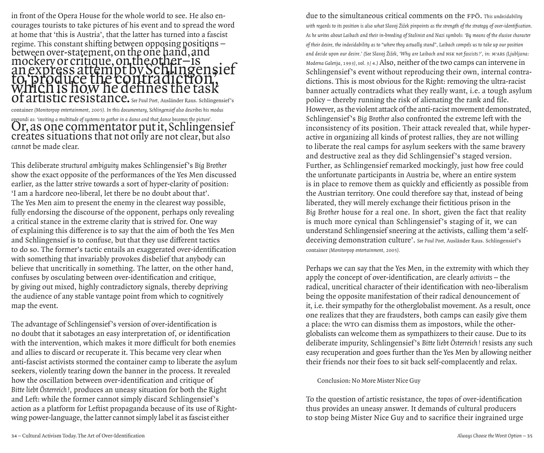

Or, as one commentator put it, Schlingensief creates situations that not only are not clear,but also *cannot* be made clear.

This deliberate *structural ambiguity* makes Schlingensief 's *Big Brother* show the exact opposite of the performances of the Yes Men discussed earlier, as the latter strive towards a sort of hyper-clarity of position: 'I am a hardcore neo-liberal, let there be no doubt about that'. The Yes Men aim to present the enemy in the clearest way possible, fully endorsing the discourse of the opponent, perhaps only revealing a critical stance in the extreme clarity that is strived for. One way of explaining this difference is to say that the aim of both the Yes Men and Schlingensief is to confuse, but that they use different tactics to do so. The former's tactic entails an exaggerated over-identification with something that invariably provokes disbelief that anybody can believe that uncritically in something. The latter, on the other hand, confuses by osculating between over-identification and critique, by giving out mixed, highly contradictory signals, thereby depriving the audience of any stable vantage point from which to cognitively map the event.

The advantage of Schlingensief's version of over-identification is no doubt that it sabotages an easy interpretation of, or identification with the intervention, which makes it more difficult for both enemies and allies to discard or recuperate it. This became very clear when anti-fascist activists stormed the container camp to liberate the asylum seekers, violently tearing down the banner in the process. It revealed how the oscillation between over-identification and critique of *Bitte liebt Österreich!*, produces an uneasy situation for both the Right and Left: while the former cannot simply discard Schlingensief 's action as a platform for Leftist propaganda because of its use of Rightwing power-language, the latter cannot simply label it as fascist either

due to the simultaneous critical comments on the fpö. *This undecidability with regards to its position is also what Slavoj limek pinpoints as the strength of the strategy of over-identification. As he writes about Laibach and their in-breeding of Stalinist and Nazi symbols: 'By means of the elusive character of their desire, the indecidability as to "where they actually stand", Laibach compels us to take up our position and decide upon our desire.' (See Slavoj limek, 'Why are Laibach and nsk not fascists?', in: m'ars (Ljubljana: Moderna Galerija, 1993), vol. 3/ 4.)* Also, neither of the two camps can intervene in Schlingensief's event without reproducing their own, internal contradictions. This is most obvious for the Right: removing the ultra-racist banner actually contradicts what they really want, i.e. a tough asylum policy – thereby running the risk of alienating the rank and file. However, as the violent attack of the anti-racist movement demonstrated, Schlingensief's Big Brother also confronted the extreme left with the inconsistency of its position. Their attack revealed that, while hyperactive in organizing all kinds of protest rallies, they are not willing to liberate the real camps for asylum seekers with the same bravery and destructive zeal as they did Schlingensief 's staged version. Further, as Schlingensief remarked mockingly, just how free could the unfortunate participants in Austria be, where an entire system is in place to remove them as quickly and efficiently as possible from the Austrian territory. One could therefore say that, instead of being liberated, they will merely exchange their fictitious prison in the *Big Brother* house for a real one. In short, given the fact that reality is much more cynical than Schlingensief's staging of it, we can understand Schlingensief sneering at the activists, calling them 'a selfdeceiving demonstration culture'. See Paul Poet, Ausländer Raus. Schlingensief's container *(Monitorpop entertainment, 2005).*

Perhaps we can say that the Yes Men, in the extremity with which they apply the concept of over-identification, are clearly *activists* – the radical, uncritical character of their identification with neo-liberalism being the opposite manifestation of their radical denouncement of it, i.e. their sympathy for the otherglobalist movement. As a result, once one realizes that they are fraudsters, both camps can easily give them a place: the wto can dismiss them as impostors, while the otherglobalists can welcome them as sympathizers to their cause. Due to its deliberate impurity, Schlingensief's *Bitte liebt Österreich!* resists any such easy recuperation and goes further than the Yes Men by allowing neither their friends nor their foes to sit back self-complacently and relax.

Conclusion: No More Mister Nice Guy

To the question of artistic resistance, the *topos* of over-identification thus provides an uneasy answer. It demands of cultural producers to stop being Mister Nice Guy and to sacrifice their ingrained urge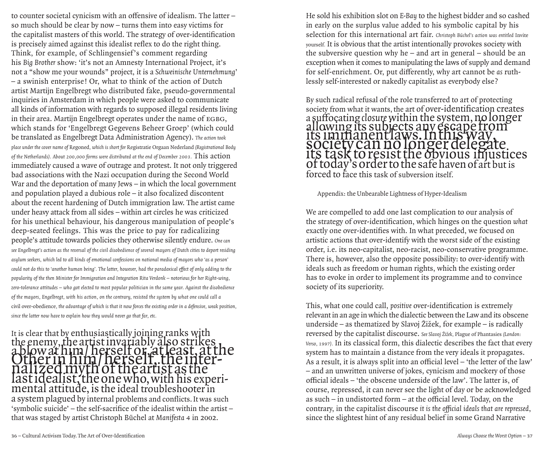to counter societal cynicism with an offensive of idealism. The latter – so much should be clear by now – turns them into easy victims for the capitalist masters of this world. The strategy of over-identification is precisely aimed against this idealist reflex to do the right thing. Think, for example, of Schlingensief 's comment regarding his *Big Brother* show: 'it's not an Amnesty International Project, it's not a "show me your wounds" project, it is a *Schweinische Unternehmung*' – a swinish enterprise ! Or, what to think of the action of Dutch artist Martijn Engelbregt who distributed fake, pseudo-governmental inquiries in Amsterdam in which people were asked to communicate all kinds of information with regards to supposed illegal residents living in their area. Martijn Engelbregt operates under the name of EGBG, which stands for 'Engelbregt Gegevens Beheer Groep' (which could be translated as Engelbregt Data Administration Agency). *The action took place under the cover name of* Regoned*, which is short for* Registratie Orgaan Nederland *(Registrational Body of the Netherlands). About 200,000 forms were distributed at the end of December 2003.* This action immediately caused a wave of outrage and protest. It not only triggered bad associations with the Nazi occupation during the Second World War and the deportation of many Jews – in which the local government and population played a dubious role – it also focalized discontent about the recent hardening of Dutch immigration law. The artist came under heavy attack from all sides – within art circles he was criticized for his unethical behaviour, his dangerous manipulation of people's deep-seated feelings. This was the price to pay for radicalizing people's attitude towards policies they otherwise silently endure. *One can see Engelbregt's action as the reversal of the civil disobedience of several mayors of Dutch cities to deport residing asylum seekers, which led to all kinds of emotional confessions on national media of mayors who 'as a person' could not do this to 'another human being'. The latter, however, had the paradoxical effect of only adding to the popularity of the then Minister for Immigration and Integration Rita Verdonk – notorious for her Right-wing, zero-tolerance attitudes – who got elected to most popular politician in the same year. Against the disobedience of the mayors, Engelbregt, with his action, on the contrary, resisted the system by what one could call a*  civil over-obedience*, the advantage of which is that it now forces the existing order in a defensive, weak position, since the latter now have to explain how they would never go that far, etc.*

It is clear that by enthusiastically joining ranks with the enemy,the artistinvariably also strikes ablow at him/herself or, at least, at the<br>ablow at him/herself or, at least, at the<br>Other in him/herself,.the inter-<br>nalized myth of the artist as the<br>last idealist, the one who, with his experi-<br>mental attitude, is the id a system plagued by internal problems and conflicts. It was such 'symbolic suicide' – the self-sacrifice of the idealist within the artist – that was staged by artist Christoph Büchel at *Manifesta 4* in 2002.

He sold his exhibition slot on *E-Bay* to the highest bidder and so cashed in early on the surplus value added to his symbolic capital by his selection for this international art fair. *Christoph Büchel's action was entitled* Invite yourself*.* It is obvious that the artist intentionally provokes society with the subversive question why he – and art in general – should be an exception when it comes to manipulating the laws of supply and demand for self-enrichment. Or, put differently, why art cannot be as ruthlessly self-interested or nakedly capitalist as everybody else?

By such radical refusal of the role transferred to art of protecting society from what it wants, the art of over-identification creates a suffocating closure within the system, no longer allowing its subjects any escape from<br>its immanent laws. In this way,<br>society can no longer delegate<br>its task to resist the opvious injustices<br>of today's order to the safe haven of art but is forced to face this task of subversion itself.

## Appendix: the Unbearable Lightness of Hyper-Idealism

We are compelled to add one last complication to our analysis of the strategy of over-identification, which hinges on the question *what* exactly one over-identifies with. In what preceded, we focused on artistic actions that over-identify with the worst side of the existing order, i.e. its neo-capitalist, neo-racist, neo-conservative programme. There is, however, also the opposite possibility: to over-identify with ideals such as freedom or human rights, which the existing order has to evoke in order to implement its programme and to convince society of its superiority.

This, what one could call, *positive* over-identification is extremely relevant in an age in which the dialectic between the Law and its obscene underside – as thematized by Slavoj Žižek, for example – is radically reversed by the capitalist discourse. *See Slavoj limek,* Plague of Phantasies *(London: Verso, 1997).* In its classical form, this dialectic describes the fact that every system has to maintain a distance from the very ideals it propagates. As a result, it is always split into an official level – 'the letter of the law' – and an unwritten universe of jokes, cynicism and mockery of those official ideals – 'the obscene underside of the law'. The latter is, of course, repressed, it can never see the light of day or be acknowledged as such – in undistorted form – at the official level. Today, on the contrary, in the capitalist discourse *it is the o<cial ideals that are repressed*, since the slightest hint of any residual belief in some Grand Narrative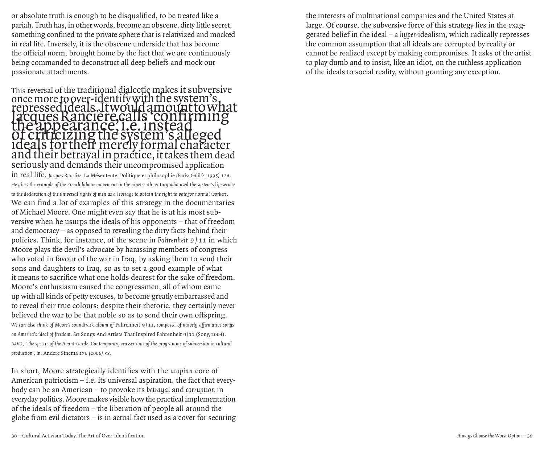or absolute truth is enough to be disqualified, to be treated like a pariah. Truth has, in other words, become an obscene, dirty little secret, something confined to the private sphere that is relativized and mocked in real life. Inversely, it is the obscene underside that has become the official norm, brought home by the fact that we are continuously being commanded to deconstruct all deep beliefs and mock our passionate attachments.

# This reversal of the traditional dialectic makes it subversive<br>once more to over-identify with the system's, repressed ideals. It would amount to what<br>lacques Rancière, calls 'confirming<br>the appearance', i.e. instead<br>of criticizing the system's alleged<br>ideals for their merely formal character<br>and their betrayal in practice, it ta seriously and demands their uncompromised application

in real life. *Jacques Rancière,* La Mésentente. Politique et philosophie *(Paris: Galilée, <sup>1995</sup>) 126. He gives the example of the French labour movement in the nineteenth century who used the system's lip-service* 

*to the declaration of the universal rights of men as a leverage to obtain the right to vote for normal workers.* We can find a lot of examples of this strategy in the documentaries of Michael Moore. One might even say that he is at his most subversive when he usurps the ideals of his opponents – that of freedom and democracy – as opposed to revealing the dirty facts behind their policies. Think, for instance, of the scene in *Fahrenheit 9 / 11* in which Moore plays the devil's advocate by harassing members of congress who voted in favour of the war in Iraq, by asking them to send their sons and daughters to Iraq, so as to set a good example of what it means to sacrifice what one holds dearest for the sake of freedom. Moore's enthusiasm caused the congressmen, all of whom came up with all kinds of petty excuses, to become greatly embarrassed and to reveal their true colours: despite their rhetoric, they certainly never believed the war to be that noble so as to send their own offspring. *We can also think of Moore's soundtrack album of* Fahrenheit 9 / 11*, composed of naively affirmative songs on America's ideal of freedom. See* Songs And Artists That Inspired Fahrenheit 9/11 (Sony, 2004)*. bavo, 'The spectre of the Avant-Garde. Contemporary reassertions of the programme of subversion in cultural production', in:* Andere Sinema *176 (2006) 38.*

In short, Moore strategically identifies with the *utopian* core of American patriotism – i.e. its universal aspiration, the fact that everybody can be an American – to provoke its *betrayal* and *corruption* in everyday politics. Moore makes visible how the practical implementation of the ideals of freedom – the liberation of people all around the globe from evil dictators – is in actual fact used as a cover for securing

the interests of multinational companies and the United States at large. Of course, the subversive force of this strategy lies in the exaggerated belief in the ideal – a *hyper-*idealism, which radically represses the common assumption that all ideals are corrupted by reality or cannot be realized except by making compromises. It asks of the artist to play dumb and to insist, like an idiot, on the ruthless application of the ideals to social reality, without granting any exception.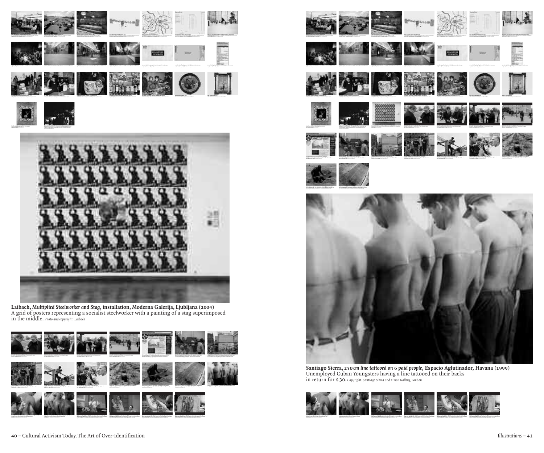



**Laibach, Multiplied Steelworker and Stag, installation, Moderna Galerija, Ljubljana (2004)**<br>A grid of posters representing a socialist steelworker with a painting of a stag superimposed in the middle. *Photo and copyright: Laibach*







Santiago Sierra, 250 cm line tattooed on 6 paid people, Espacio Aglutinador, Havana (1999)<br>Unemployed Cuban Youngsters having a line tattooed on their backs<br>in return for \$ 30. Copyright: Santiago Sierra and Lisson Gallery